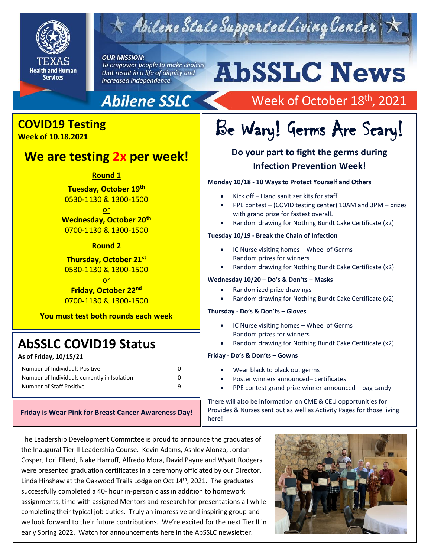

# $\tau$  Abilene State Supported Living Center

### **OUR MISSION:**

To empower people to make choices that result in a life of dignity and increased independence.

# **Abilene SSLC**

### **COVID19 Testing**

**Week of 10.18.2021**

### **We are testing 2x per week!**

**Round 1**

**Tuesday, October 19th** 0530-1130 & 1300-1500

<u>or</u> **Wednesday, October 20th**  0700-1130 & 1300-1500

#### **Round 2**

**Thursday, October 21st** 0530-1130 & 1300-1500

<u>or</u> **Friday, October 22nd** 0700-1130 & 1300-1500

**You must test both rounds each week**

# **AbSSLC COVID19 Status**

**As of Friday, 10/15/21**

Number of Individuals Positive 0 Number of Individuals currently in Isolation 0 Number of Staff Positive 9 Be Wary! Germs Are Scary!

**AbSSLC News** 

Week of October 18<sup>th</sup>, 2021

### **Do your part to fight the germs during Infection Prevention Week!**

#### **Monday 10/18 - 10 Ways to Protect Yourself and Others**

- Kick off Hand sanitizer kits for staff
- PPE contest (COVID testing center) 10AM and 3PM prizes with grand prize for fastest overall.
- Random drawing for Nothing Bundt Cake Certificate (x2)

#### **Tuesday 10/19 - Break the Chain of Infection**

- IC Nurse visiting homes Wheel of Germs Random prizes for winners
- Random drawing for Nothing Bundt Cake Certificate (x2)

#### **Wednesday 10/20 – Do's & Don'ts – Masks**

- Randomized prize drawings
- Random drawing for Nothing Bundt Cake Certificate (x2)

#### **Thursday - Do's & Don'ts – Gloves**

- IC Nurse visiting homes Wheel of Germs Random prizes for winners
- Random drawing for Nothing Bundt Cake Certificate (x2)

#### **Friday - Do's & Don'ts – Gowns**

- Wear black to black out germs
- Poster winners announced– certificates
- PPE contest grand prize winner announced bag candy

There will also be information on CME & CEU opportunities for Provides & Nurses sent out as well as Activity Pages for those living here!

**Friday is Wear Pink for Breast Cancer Awareness Day!**

The Leadership Development Committee is proud to announce the graduates of the Inaugural Tier II Leadership Course. Kevin Adams, Ashley Alonzo, Jordan Cosper, Lori Ellerd, Blake Harruff, Alfredo Mora, David Payne and Wyatt Rodgers were presented graduation certificates in a ceremony officiated by our Director, Linda Hinshaw at the Oakwood Trails Lodge on Oct 14<sup>th</sup>, 2021. The graduates successfully completed a 40- hour in-person class in addition to homework assignments, time with assigned Mentors and research for presentations all while completing their typical job duties. Truly an impressive and inspiring group and we look forward to their future contributions. We're excited for the next Tier II in early Spring 2022. Watch for announcements here in the AbSSLC newsletter.